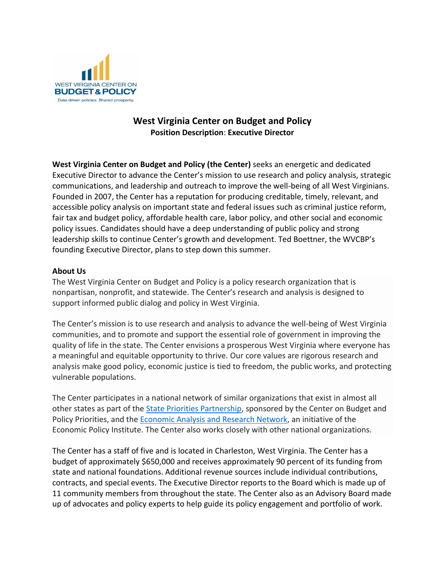

# **West Virginia Center on Budget and Policy Position Description**: **Executive Director**

**West Virginia Center on Budget and Policy (the Center)** seeks an energetic and dedicated Executive Director to advance the Center's mission to use research and policy analysis, strategic communications, and leadership and outreach to improve the well-being of all West Virginians. Founded in 2007, the Center has a reputation for producing creditable, timely, relevant, and accessible policy analysis on important state and federal issues such as criminal justice reform, fair tax and budget policy, affordable health care, labor policy, and other social and economic policy issues. Candidates should have a deep understanding of public policy and strong leadership skills to continue Center's growth and development. Ted Boettner, the WVCBP's founding Executive Director, plans to step down this summer.

### **About Us**

The West Virginia Center on Budget and Policy is a policy research organization that is nonpartisan, nonprofit, and statewide. The Center's research and analysis is designed to support informed public dialog and policy in West Virginia.

The Center's mission is to use research and analysis to advance the well-being of West Virginia communities, and to promote and support the essential role of government in improving the quality of life in the state. The Center envisions a prosperous West Virginia where everyone has a meaningful and equitable opportunity to thrive. Our core values are rigorous research and analysis make good policy, economic justice is tied to freedom, the public works, and protecting vulnerable populations.

The Center participates in a national network of similar organizations that exist in almost all other states as part of the [State Priorities Partnership,](https://statepriorities.org/) sponsored by the Center on Budget and Policy Priorities, and the [Economic Analysis and Research Network,](https://earn.us/) an initiative of the Economic Policy Institute. The Center also works closely with other national organizations.

The Center has a staff of five and is located in Charleston, West Virginia. The Center has a budget of approximately \$650,000 and receives approximately 90 percent of its funding from state and national foundations. Additional revenue sources include individual contributions, contracts, and special events. The Executive Director reports to the Board which is made up of 11 community members from throughout the state. The Center also as an Advisory Board made up of advocates and policy experts to help guide its policy engagement and portfolio of work.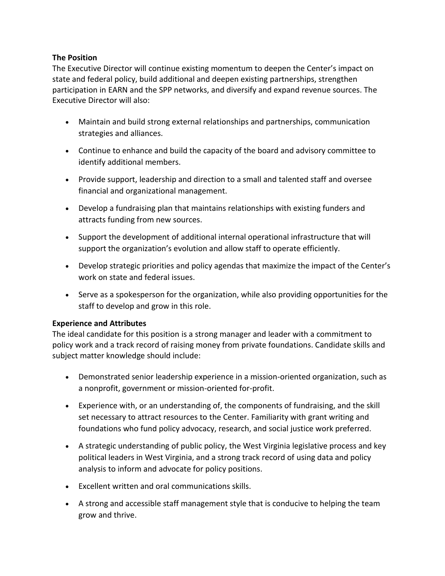## **The Position**

The Executive Director will continue existing momentum to deepen the Center's impact on state and federal policy, build additional and deepen existing partnerships, strengthen participation in EARN and the SPP networks, and diversify and expand revenue sources. The Executive Director will also:

- Maintain and build strong external relationships and partnerships, communication strategies and alliances.
- Continue to enhance and build the capacity of the board and advisory committee to identify additional members.
- Provide support, leadership and direction to a small and talented staff and oversee financial and organizational management.
- Develop a fundraising plan that maintains relationships with existing funders and attracts funding from new sources.
- Support the development of additional internal operational infrastructure that will support the organization's evolution and allow staff to operate efficiently.
- Develop strategic priorities and policy agendas that maximize the impact of the Center's work on state and federal issues.
- Serve as a spokesperson for the organization, while also providing opportunities for the staff to develop and grow in this role.

### **Experience and Attributes**

The ideal candidate for this position is a strong manager and leader with a commitment to policy work and a track record of raising money from private foundations. Candidate skills and subject matter knowledge should include:

- Demonstrated senior leadership experience in a mission-oriented organization, such as a nonprofit, government or mission-oriented for-profit.
- Experience with, or an understanding of, the components of fundraising, and the skill set necessary to attract resources to the Center. Familiarity with grant writing and foundations who fund policy advocacy, research, and social justice work preferred.
- A strategic understanding of public policy, the West Virginia legislative process and key political leaders in West Virginia, and a strong track record of using data and policy analysis to inform and advocate for policy positions.
- Excellent written and oral communications skills.
- A strong and accessible staff management style that is conducive to helping the team grow and thrive.